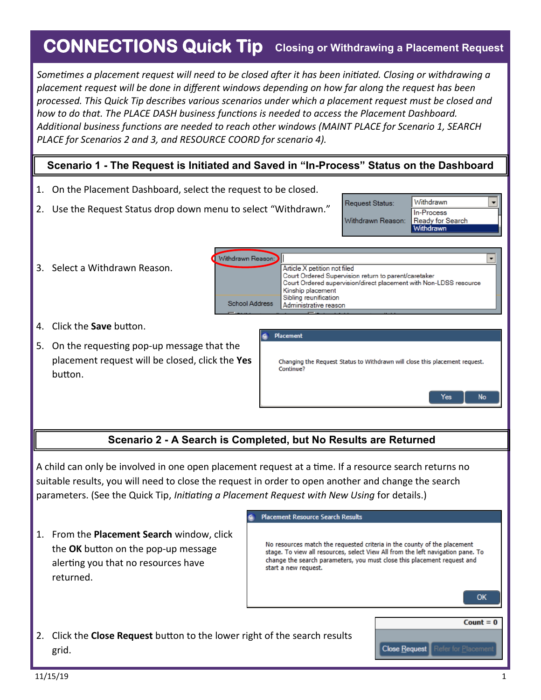# **CONNECTIONS Quick Tip** Closing or Withdrawing a Placement Request

*Sometimes a placement request will need to be closed after it has been initiated. Closing or withdrawing a placement request will be done in different windows depending on how far along the request has been processed. This Quick Tip describes various scenarios under which a placement request must be closed and how to do that. The PLACE DASH business functions is needed to access the Placement Dashboard. Additional business functions are needed to reach other windows (MAINT PLACE for Scenario 1, SEARCH PLACE for Scenarios 2 and 3, and RESOURCE COORD for scenario 4).*

# **Scenario 1 - The Request is Initiated and Saved in "In-Process" Status on the Dashboard**

1. On the Placement Dashboard, select the request to be closed. Withdrawn ▾ Request Status: 2. Use the Request Status drop down menu to select "Withdrawn." In-Process Ready for Search Withdrawn Reason: Withdrawn Withdrawn Reason:  $\vert$ 3. Select a Withdrawn Reason. Article X petition not filed Court Ordered Supervision return to parent/caretaker Court Ordered supervision/direct placement with Non-LDSS resource Kinship placement Sibling reunification **School Address** Administrative reason 4. Click the **Save** button. Placement 5. On the requesting pop-up message that the placement request will be closed, click the **Yes** Changing the Request Status to Withdrawn will close this placement request. Continue? button. Yes No

# **Scenario 2 - A Search is Completed, but No Results are Returned**

A child can only be involved in one open placement request at a time. If a resource search returns no suitable results, you will need to close the request in order to open another and change the search parameters. (See the Quick Tip, *Initiating a Placement Request with New Using* for details.)

1. From the **Placement Search** window, click the **OK** button on the pop-up message alerting you that no resources have returned.

#### **Placement Resource Search Results**

No resources match the requested criteria in the county of the placement stage. To view all resources, select View All from the left navigation pane. To change the search parameters, you must close this placement request and start a new request.

**Close Request** 

OK

Count  $= 0$ 

2. Click the **Close Request** button to the lower right of the search results grid.